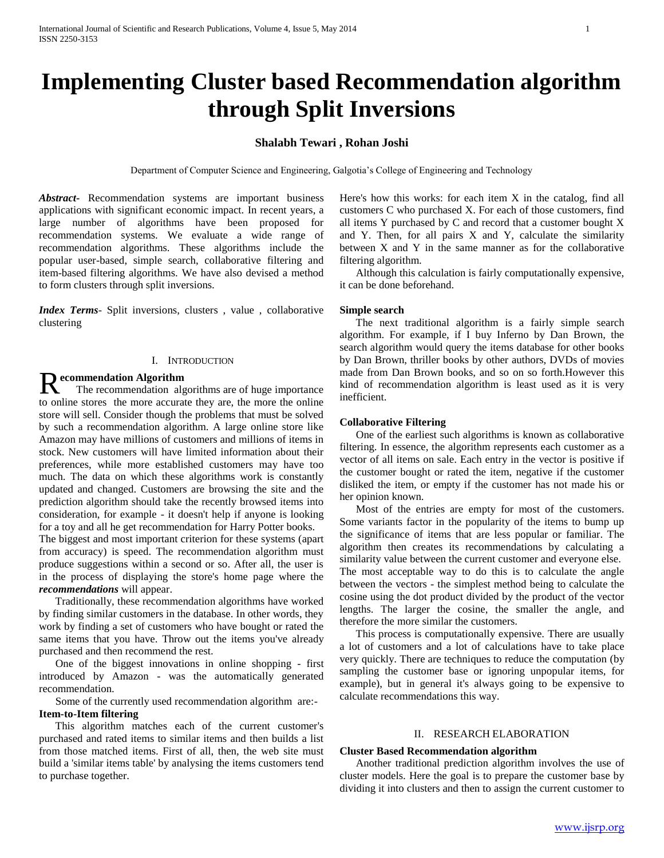# **Implementing Cluster based Recommendation algorithm through Split Inversions**

# **Shalabh Tewari , Rohan Joshi**

Department of Computer Science and Engineering, Galgotia's College of Engineering and Technology

*Abstract***-** Recommendation systems are important business applications with significant economic impact. In recent years, a large number of algorithms have been proposed for recommendation systems. We evaluate a wide range of recommendation algorithms. These algorithms include the popular user-based, simple search, collaborative filtering and item-based filtering algorithms. We have also devised a method to form clusters through split inversions.

*Index Terms*- Split inversions, clusters , value , collaborative clustering

# I. INTRODUCTION

**R** ecommendation Algorithm The recommendation algorithms are of huge importance to online stores the more accurate they are, the more the online store will sell. Consider though the problems that must be solved by such a recommendation algorithm. A large online store like Amazon may have millions of customers and millions of items in stock. New customers will have limited information about their preferences, while more established customers may have too much. The data on which these algorithms work is constantly updated and changed. Customers are browsing the site and the prediction algorithm should take the recently browsed items into consideration, for example - it doesn't help if anyone is looking for a toy and all he get recommendation for Harry Potter books.

The biggest and most important criterion for these systems (apart from accuracy) is speed. The recommendation algorithm must produce suggestions within a second or so. After all, the user is in the process of displaying the store's home page where the *recommendations* will appear.

 Traditionally, these recommendation algorithms have worked by finding similar customers in the database. In other words, they work by finding a set of customers who have bought or rated the same items that you have. Throw out the items you've already purchased and then recommend the rest.

 One of the biggest innovations in online shopping - first introduced by Amazon - was the automatically generated recommendation.

Some of the currently used recommendation algorithm are:-

### **Item-to-Item filtering**

 This algorithm matches each of the current customer's purchased and rated items to similar items and then builds a list from those matched items. First of all, then, the web site must build a 'similar items table' by analysing the items customers tend to purchase together.

Here's how this works: for each item X in the catalog, find all customers C who purchased X. For each of those customers, find all items Y purchased by C and record that a customer bought X and Y. Then, for all pairs X and Y, calculate the similarity between X and Y in the same manner as for the collaborative filtering algorithm.

 Although this calculation is fairly computationally expensive, it can be done beforehand.

# **Simple search**

 The next traditional algorithm is a fairly simple search algorithm. For example, if I buy Inferno by Dan Brown, the search algorithm would query the items database for other books by Dan Brown, thriller books by other authors, DVDs of movies made from Dan Brown books, and so on so forth.However this kind of recommendation algorithm is least used as it is very inefficient.

# **Collaborative Filtering**

 One of the earliest such algorithms is known as collaborative filtering. In essence, the algorithm represents each customer as a vector of all items on sale. Each entry in the vector is positive if the customer bought or rated the item, negative if the customer disliked the item, or empty if the customer has not made his or her opinion known.

 Most of the entries are empty for most of the customers. Some variants factor in the popularity of the items to bump up the significance of items that are less popular or familiar. The algorithm then creates its recommendations by calculating a similarity value between the current customer and everyone else. The most acceptable way to do this is to calculate the angle between the vectors - the simplest method being to calculate the cosine using the dot product divided by the product of the vector lengths. The larger the cosine, the smaller the angle, and therefore the more similar the customers.

 This process is computationally expensive. There are usually a lot of customers and a lot of calculations have to take place very quickly. There are techniques to reduce the computation (by sampling the customer base or ignoring unpopular items, for example), but in general it's always going to be expensive to calculate recommendations this way.

# II. RESEARCH ELABORATION

# **Cluster Based Recommendation algorithm**

 Another traditional prediction algorithm involves the use of cluster models. Here the goal is to prepare the customer base by dividing it into clusters and then to assign the current customer to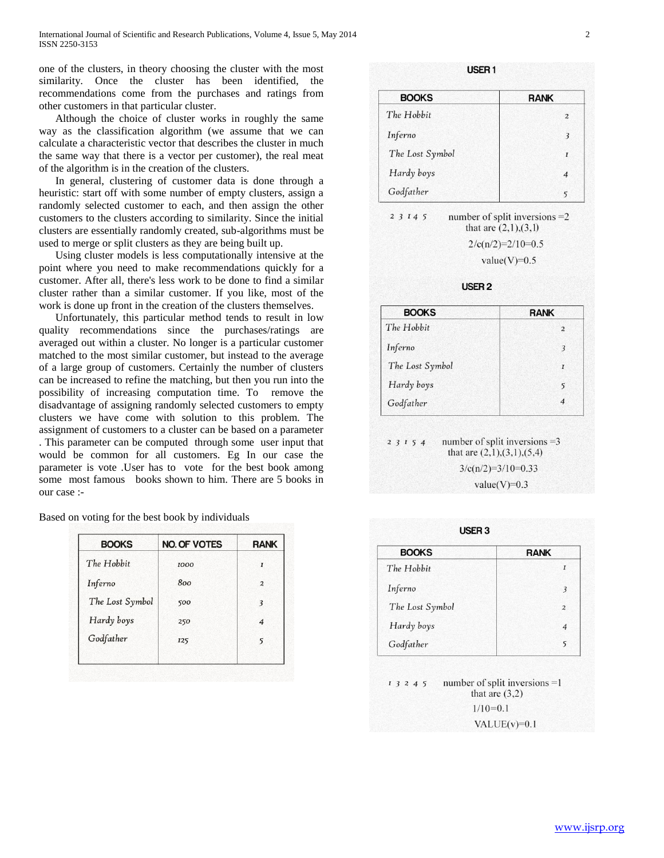one of the clusters, in theory choosing the cluster with the most similarity. Once the cluster has been identified, the recommendations come from the purchases and ratings from other customers in that particular cluster.

 Although the choice of cluster works in roughly the same way as the classification algorithm (we assume that we can calculate a characteristic vector that describes the cluster in much the same way that there is a vector per customer), the real meat of the algorithm is in the creation of the clusters.

 In general, clustering of customer data is done through a heuristic: start off with some number of empty clusters, assign a randomly selected customer to each, and then assign the other customers to the clusters according to similarity. Since the initial clusters are essentially randomly created, sub-algorithms must be used to merge or split clusters as they are being built up.

 Using cluster models is less computationally intensive at the point where you need to make recommendations quickly for a customer. After all, there's less work to be done to find a similar cluster rather than a similar customer. If you like, most of the work is done up front in the creation of the clusters themselves.

 Unfortunately, this particular method tends to result in low quality recommendations since the purchases/ratings are averaged out within a cluster. No longer is a particular customer matched to the most similar customer, but instead to the average of a large group of customers. Certainly the number of clusters can be increased to refine the matching, but then you run into the possibility of increasing computation time. To remove the disadvantage of assigning randomly selected customers to empty clusters we have come with solution to this problem. The assignment of customers to a cluster can be based on a parameter . This parameter can be computed through some user input that would be common for all customers. Eg In our case the parameter is vote .User has to vote for the best book among some most famous books shown to him. There are 5 books in our case :-

|  | Based on voting for the best book by individuals |  |  |  |  |  |  |  |  |
|--|--------------------------------------------------|--|--|--|--|--|--|--|--|
|--|--------------------------------------------------|--|--|--|--|--|--|--|--|

| <b>BOOKS</b>    | <b>NO. OF VOTES</b> | <b>RANK</b>    |
|-----------------|---------------------|----------------|
| The Hobbit      | 1000                | I              |
| Inferno         | 800                 | $\overline{a}$ |
| The Lost Symbol | 500                 | 3              |
| Hardy boys      | 250                 | $\overline{4}$ |
| Godfather       | 125                 | 5              |

| USER <sub>1</sub> |                |
|-------------------|----------------|
| <b>BOOKS</b>      | <b>RANK</b>    |
| The Hobbit        | $\overline{2}$ |
| Inferno           | 3              |
| The Lost Symbol   | $\mathbf{I}$   |
| Hardy boys        | $\overline{4}$ |
| Godfather         | 5              |

2 3 1 4 5 number of split inversions  $=2$ that are  $(2,1),(3,1)$  $2/c(n/2)=2/10=0.5$ 

value(V)= $0.5$ 

USER<sub>2</sub>

| <b>BOOKS</b>    | <b>RANK</b>    |
|-----------------|----------------|
| The Hobbit      | $\overline{2}$ |
| Inferno         | 3              |
| The Lost Symbol | $\overline{I}$ |
| Hardy boys      | 5              |
| Godfather       | $\overline{4}$ |

number of split inversions  $=3$ 2 3 1 5 4 that are  $(2,1),(3,1),(5,4)$  $3/c(n/2)=3/10=0.33$ value(V)= $0.3$ 

 $HCTD2$ 

| <b>BOOKS</b>    | <b>RANK</b>    |
|-----------------|----------------|
| The Hobbit      | I              |
| Inferno         | 3              |
| The Lost Symbol | $\overline{2}$ |
| Hardy boys      | 4              |
| Godfather       | 5              |

number of split inversions  $=1$  $13245$ that are  $(3,2)$  $1/10=0.1$ VALUE $(v)=0.1$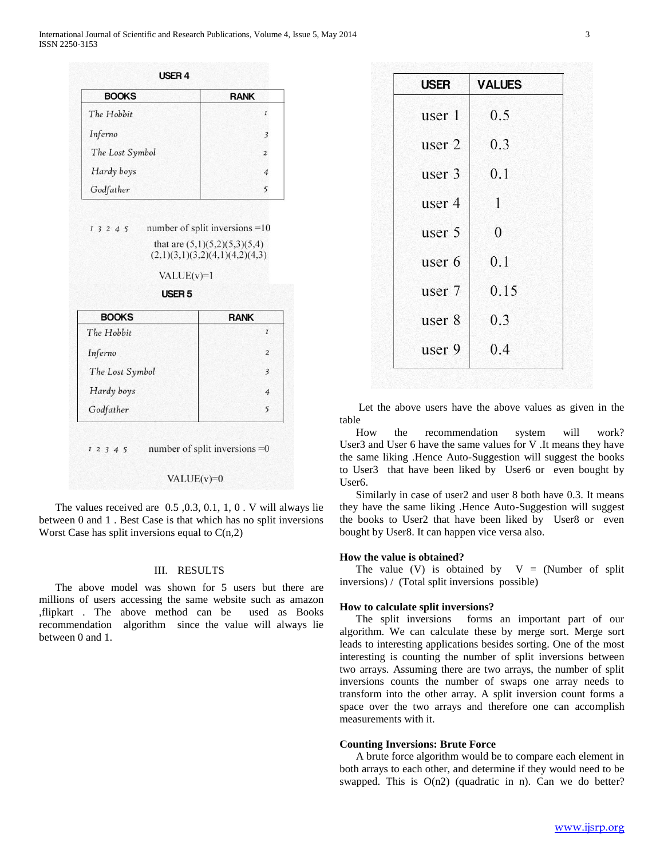| <b>BOOKS</b>                      | <b>RANK</b>                                                                                           |
|-----------------------------------|-------------------------------------------------------------------------------------------------------|
| The Hobbit                        | I                                                                                                     |
| Inferno                           | 3                                                                                                     |
| The Lost Symbol                   | $\overline{a}$                                                                                        |
| Hardy boys                        | $\overline{4}$                                                                                        |
| Godfather                         | 5                                                                                                     |
| $VALUE(v)=1$<br>USER <sub>5</sub> | number of split inversions $=10$<br>that are $(5,1)(5,2)(5,3)(5,4)$<br>(2,1)(3,1)(3,2)(4,1)(4,2)(4,3) |
| <b>BOOKS</b>                      | <b>RANK</b>                                                                                           |
| 13245<br>The Hobbit               | I                                                                                                     |
|                                   | $\overline{a}$                                                                                        |
| Inferno<br>The Lost Symbol        | $\overline{\mathbf{3}}$                                                                               |
| Hardy boys                        | $\overline{4}$                                                                                        |

#### VALUE $(v)=0$

 The values received are 0.5 ,0.3, 0.1, 1, 0 . V will always lie between 0 and 1 . Best Case is that which has no split inversions Worst Case has split inversions equal to  $C(n,2)$ 

# III. RESULTS

 The above model was shown for 5 users but there are millions of users accessing the same website such as amazon ,flipkart . The above method can be used as Books recommendation algorithm since the value will always lie between 0 and 1.

| <b>USER</b> | <b>VALUES</b> |
|-------------|---------------|
| user 1      | 0.5           |
| user 2      | 0.3           |
| user 3      | 0.1           |
| user 4      | 1             |
| user 5      | $\theta$      |
| user 6      | 0.1           |
| user 7      | 0.15          |
| user 8      | 0.3           |
| user 9      | 0.4           |

 Let the above users have the above values as given in the table

 How the recommendation system will work? User3 and User 6 have the same values for V .It means they have the same liking .Hence Auto-Suggestion will suggest the books to User3 that have been liked by User6 or even bought by User6.

Similarly in case of user2 and user 8 both have 0.3. It means they have the same liking .Hence Auto-Suggestion will suggest the books to User2 that have been liked by User8 or even bought by User8. It can happen vice versa also.

#### **How the value is obtained?**

The value (V) is obtained by  $V = (Number of split$ inversions) / (Total split inversions possible)

# **How to calculate split inversions?**

 The split inversions forms an important part of our algorithm. We can calculate these by merge sort. Merge sort leads to interesting applications besides sorting. One of the most interesting is counting the number of split inversions between two arrays. Assuming there are two arrays, the number of split inversions counts the number of swaps one array needs to transform into the other array. A split inversion count forms a space over the two arrays and therefore one can accomplish measurements with it.

# **Counting Inversions: Brute Force**

 A brute force algorithm would be to compare each element in both arrays to each other, and determine if they would need to be swapped. This is  $O(n2)$  (quadratic in n). Can we do better?